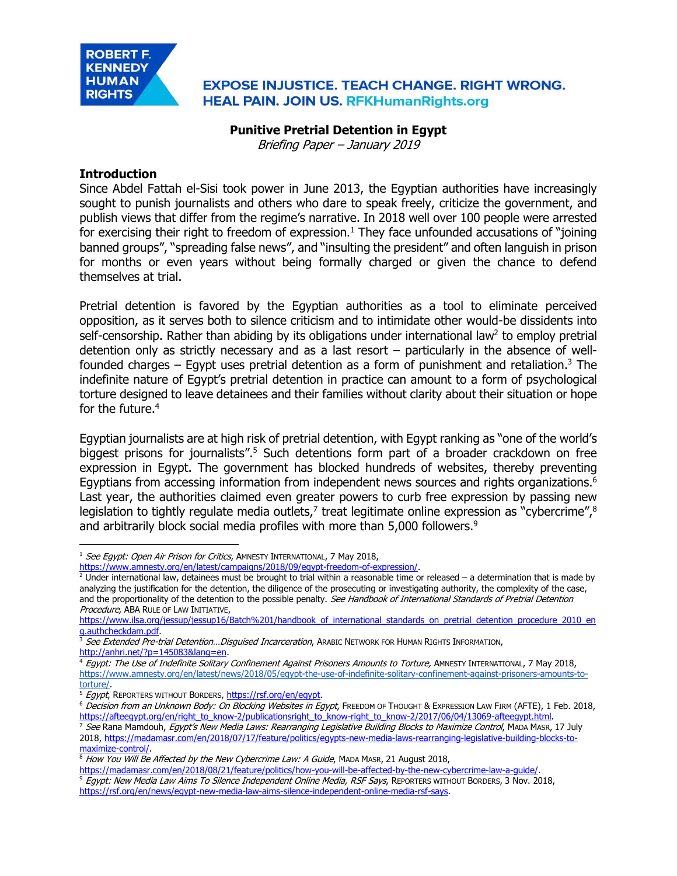

## **EXPOSE INJUSTICE. TEACH CHANGE. RIGHT WRONG. HEAL PAIN. JOIN US. RFKHumanRights.org**

#### **Punitive Pretrial Detention in Egypt**

Briefing Paper – January 2019

## **Introduction**

Since Abdel Fattah el-Sisi took power in June 2013, the Egyptian authorities have increasingly sought to punish journalists and others who dare to speak freely, criticize the government, and publish views that differ from the regime's narrative. In 2018 well over 100 people were arrested for exercising their right to freedom of expression.<sup>1</sup> They face unfounded accusations of "joining banned groups", "spreading false news", and "insulting the president" and often languish in prison for months or even years without being formally charged or given the chance to defend themselves at trial.

Pretrial detention is favored by the Egyptian authorities as a tool to eliminate perceived opposition, as it serves both to silence criticism and to intimidate other would-be dissidents into self-censorship. Rather than abiding by its obligations under international law<sup>2</sup> to employ pretrial detention only as strictly necessary and as a last resort – particularly in the absence of wellfounded charges  $-$  Egypt uses pretrial detention as a form of punishment and retaliation.<sup>3</sup> The indefinite nature of Egypt's pretrial detention in practice can amount to a form of psychological torture designed to leave detainees and their families without clarity about their situation or hope for the future.<sup>4</sup>

Egyptian journalists are at high risk of pretrial detention, with Egypt ranking as "one of the world's biggest prisons for journalists".<sup>5</sup> Such detentions form part of a broader crackdown on free expression in Egypt. The government has blocked hundreds of websites, thereby preventing Egyptians from accessing information from independent news sources and rights organizations.<sup>6</sup> Last year, the authorities claimed even greater powers to curb free expression by passing new legislation to tightly regulate media outlets,<sup>7</sup> treat legitimate online expression as "cybercrime",<sup>8</sup> and arbitrarily block social media profiles with more than 5,000 followers.<sup>9</sup>

 $\overline{a}$ <sup>1</sup> See Egypt: Open Air Prison for Critics, AMNESTY INTERNATIONAL, 7 May 2018,

[https://www.amnesty.org/en/latest/campaigns/2018/09/egypt-freedom-of-expression/.](https://www.amnesty.org/en/latest/campaigns/2018/09/egypt-freedom-of-expression/)

 $2$  Under international law, detainees must be brought to trial within a reasonable time or released – a determination that is made by analyzing the justification for the detention, the diligence of the prosecuting or investigating authority, the complexity of the case, and the proportionality of the detention to the possible penalty. See Handbook of International Standards of Pretrial Detention Procedure, ABA RULE OF LAW INITIATIVE,

https://www.ilsa.org/jessup/jessup16/Batch%201/handbook of international standards on pretrial detention procedure 2010 en [g.authcheckdam.pdf.](https://www.ilsa.org/jessup/jessup16/Batch%201/handbook_of_international_standards_on_pretrial_detention_procedure_2010_eng.authcheckdam.pdf)

<sup>&</sup>lt;sup>3</sup> See Extended Pre-trial Detention...Disguised Incarceration, ARABIC NETWORK FOR HUMAN RIGHTS INFORMATION, [http://anhri.net/?p=145083&lang=en.](http://anhri.net/?p=145083&lang=en)

<sup>4</sup> Egypt: The Use of Indefinite Solitary Confinement Against Prisoners Amounts to Torture, AMNESTY INTERNATIONAL, 7 May 2018, https://www.amnesty.org/en/latest/news/2018/05/egypt-the-use-of-indefinite-solitary-confinement-against-prisoners-amounts-totorture/.

<sup>&</sup>lt;sup>5</sup> Egypt, REPORTERS WITHOUT BORDERS, [https://rsf.org/en/egypt.](https://rsf.org/en/egypt)

<sup>&</sup>lt;sup>6</sup> Decision from an Unknown Body: On Blocking Websites in Egypt, FREEDOM OF THOUGHT & EXPRESSION LAW FIRM (AFTE), 1 Feb. 2018, [https://afteegypt.org/en/right\\_to\\_know-2/publicationsright\\_to\\_know-right\\_to\\_know-2/2017/06/04/13069-afteegypt.html.](https://afteegypt.org/en/right_to_know-2/publicationsright_to_know-right_to_know-2/2017/06/04/13069-afteegypt.html)

<sup>&</sup>lt;sup>7</sup> See Rana Mamdouh, Egypt's New Media Laws: Rearranging Legislative Building Blocks to Maximize Control, MADA MASR, 17 July 2018[, https://madamasr.com/en/2018/07/17/feature/politics/egypts-new-media-laws-rearranging-legislative-building-blocks-to](https://madamasr.com/en/2018/07/17/feature/politics/egypts-new-media-laws-rearranging-legislative-building-blocks-to-maximize-control/)[maximize-control/.](https://madamasr.com/en/2018/07/17/feature/politics/egypts-new-media-laws-rearranging-legislative-building-blocks-to-maximize-control/)

<sup>&</sup>lt;sup>8</sup> How You Will Be Affected by the New Cybercrime Law: A Guide, MADA MASR, 21 August 2018,

[https://madamasr.com/en/2018/08/21/feature/politics/how-you-will-be-affected-by-the-new-cybercrime-law-a-guide/.](https://madamasr.com/en/2018/08/21/feature/politics/how-you-will-be-affected-by-the-new-cybercrime-law-a-guide/) <sup>9</sup> Egypt: New Media Law Aims To Silence Independent Online Media, RSF Says, REPORTERS WITHOUT BORDERS, 3 Nov. 2018, [https://rsf.org/en/news/egypt-new-media-law-aims-silence-independent-online-media-rsf-says.](https://rsf.org/en/news/egypt-new-media-law-aims-silence-independent-online-media-rsf-says)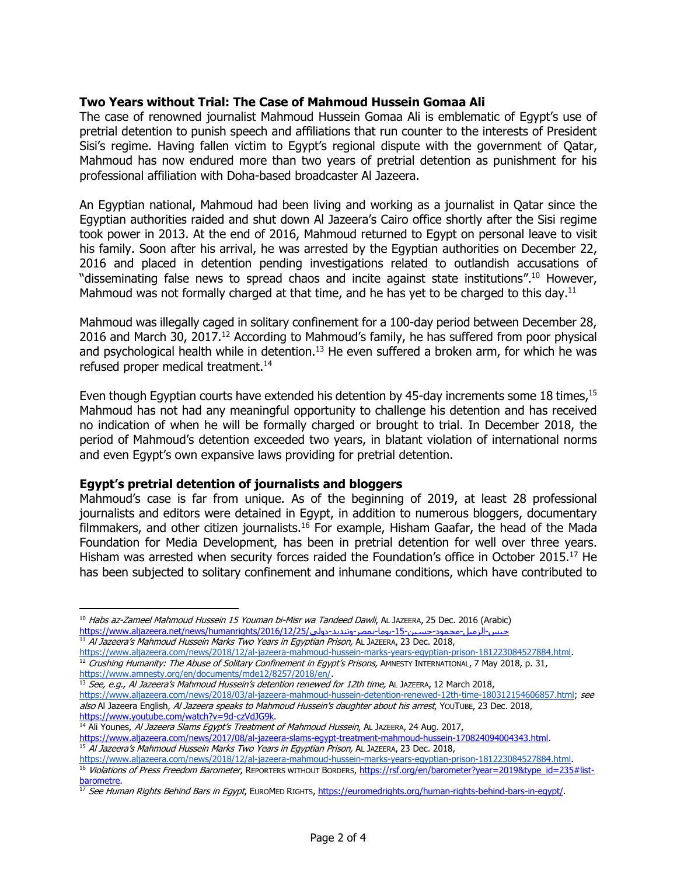## **Two Years without Trial: The Case of Mahmoud Hussein Gomaa Ali**

The case of renowned journalist Mahmoud Hussein Gomaa Ali is emblematic of Egypt's use of pretrial detention to punish speech and affiliations that run counter to the interests of President Sisi's regime. Having fallen victim to Egypt's regional dispute with the government of Qatar, Mahmoud has now endured more than two years of pretrial detention as punishment for his professional affiliation with Doha-based broadcaster Al Jazeera.

An Egyptian national, Mahmoud had been living and working as a journalist in Qatar since the Egyptian authorities raided and shut down Al Jazeera's Cairo office shortly after the Sisi regime took power in 2013. At the end of 2016, Mahmoud returned to Egypt on personal leave to visit his family. Soon after his arrival, he was arrested by the Egyptian authorities on December 22, 2016 and placed in detention pending investigations related to outlandish accusations of "disseminating false news to spread chaos and incite against state institutions".<sup>10</sup> However, Mahmoud was not formally charged at that time, and he has yet to be charged to this day.<sup>11</sup>

Mahmoud was illegally caged in solitary confinement for a 100-day period between December 28, 2016 and March 30, 2017.<sup>12</sup> According to Mahmoud's family, he has suffered from poor physical and psychological health while in detention.<sup>13</sup> He even suffered a broken arm, for which he was refused proper medical treatment.<sup>14</sup>

Even though Egyptian courts have extended his detention by 45-day increments some 18 times,<sup>15</sup> Mahmoud has not had any meaningful opportunity to challenge his detention and has received no indication of when he will be formally charged or brought to trial. In December 2018, the period of Mahmoud's detention exceeded two years, in blatant violation of international norms and even Egypt's own expansive laws providing for pretrial detention.

#### **Egypt's pretrial detention of journalists and bloggers**

 $\overline{a}$ 

Mahmoud's case is far from unique. As of the beginning of 2019, at least 28 professional journalists and editors were detained in Egypt, in addition to numerous bloggers, documentary filmmakers, and other citizen journalists.<sup>16</sup> For example, Hisham Gaafar, the head of the Mada Foundation for Media Development, has been in pretrial detention for well over three years. Hisham was arrested when security forces raided the Foundation's office in October 2015.<sup>17</sup> He has been subjected to solitary confinement and inhumane conditions, which have contributed to

<sup>14</sup> Ali Younes, Al Jazeera Slams Egypt's Treatment of Mahmoud Hussein, AL JAZEERA, 24 Aug. 2017, [https://www.aljazeera.com/news/2017/08/al-jazeera-slams-egypt-treatment-mahmoud-hussein-170824094004343.html.](https://www.aljazeera.com/news/2017/08/al-jazeera-slams-egypt-treatment-mahmoud-hussein-170824094004343.html) <sup>15</sup> [A](https://www.aljazeera.com/news/2018/06/al-jazeera-journalist-mahmoud-hussein-held-egypt-full-pre-trial-term-180626103148001.html)lJazeera's Mahmoud Hussein Marks Two Years in Egyptian Prison, AL JAZEERA, 23 Dec. 2018,

<sup>&</sup>lt;sup>10</sup> Habs az-Zameel Mahmoud Hussein 15 Youman bi-Misr wa Tandeed Dawli, AL JAZEERA, 25 Dec. 2016 (Arabic) حبس-الزميل-محمود-حسين-15-يوما-بمصر-وتنديد-دولي[/2016/12/25/humanrights/news/net.aljazeera.www://https](https://www.aljazeera.net/news/humanrights/2016/12/25/حبس-الزميل-محمود-حسين-15-يوما-بمصر-وتنديد-دوليز) <sup>11</sup> [A](https://www.aljazeera.com/news/2018/06/al-jazeera-journalist-mahmoud-hussein-held-egypt-full-pre-trial-term-180626103148001.html)lJazeera's Mahmoud Hussein Marks Two Years in Egyptian Prison, AL JAZEERA, 23 Dec. 2018,

[https://www.aljazeera.com/news/2018/12/al-jazeera-mahmoud-hussein-marks-years-egyptian-prison-181223084527884.html.](https://www.aljazeera.com/news/2018/06/al-jazeera-journalist-mahmoud-hussein-held-egypt-full-pre-trial-term-180626103148001.html) 

 $12$  Crushing Humanity: The Abuse of Solitary Confinement in Egypt's Prisons, AMNESTY INTERNATIONAL, 7 May 2018, p. 31, [https://www.amnesty.org/en/documents/mde12/8257/2018/en/.](https://www.amnesty.org/en/documents/mde12/8257/2018/en/)

 $^{13}$  See, e.g., Al Jazeera's Mahmoud Hussein's detention renewed for 12th time, AL JAZEERA, 12 March 2018, [https://www.aljazeera.com/news/2018/03/al-jazeera-mahmoud-hussein-detention-renewed-12th-time-180312154606857.html;](https://www.aljazeera.com/news/2018/03/al-jazeera-mahmoud-hussein-detention-renewed-12th-time-180312154606857.html) see

also Al Jazeera English, Al Jazeera speaks to Mahmoud Hussein's daughter about his arrest, YouTuBE, 23 Dec. 2018, [https://www.youtube.com/watch?v=9d-czVdJG9k.](https://www.youtube.com/watch?v=9d-czVdJG9k)

[https://www.aljazeera.com/news/2018/12/al-jazeera-mahmoud-hussein-marks-years-egyptian-prison-181223084527884.html.](https://www.aljazeera.com/news/2018/06/al-jazeera-journalist-mahmoud-hussein-held-egypt-full-pre-trial-term-180626103148001.html) 

<sup>16</sup> Violations of Press Freedom Barometer, REPORTERS WITHOUT BORDERS, [https://rsf.org/en/barometer?year=2019&type\\_id=235#list](https://rsf.org/en/barometer?year=2019&type_id=235#list-barometre)[barometre.](https://rsf.org/en/barometer?year=2019&type_id=235#list-barometre) 

<sup>&</sup>lt;sup>17</sup> See Human Rights Behind Bars in Egypt, EUROMED RIGHTS, [https://euromedrights.org/human-rights-behind-bars-in-egypt/.](https://euromedrights.org/human-rights-behind-bars-in-egypt/)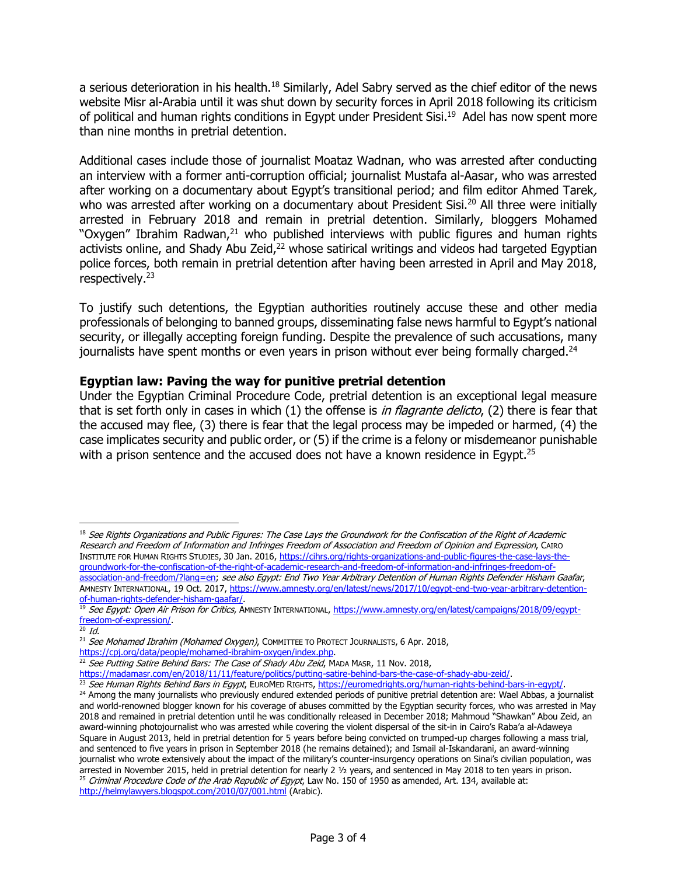a serious deterioration in his health.<sup>18</sup> Similarly, Adel Sabry served as the chief editor of the news website Misr al-Arabia until it was shut down by security forces in April 2018 following its criticism of political and human rights conditions in Egypt under President Sisi.<sup>19</sup> Adel has now spent more than nine months in pretrial detention.

Additional cases include those of journalist Moataz Wadnan, who was arrested after conducting an interview with a former anti-corruption official; journalist Mustafa al-Aasar, who was arrested after working on a documentary about Egypt's transitional period; and film editor Ahmed Tarek, who was arrested after working on a documentary about President Sisi.<sup>20</sup> All three were initially arrested in February 2018 and remain in pretrial detention. Similarly, bloggers Mohamed "Oxygen" Ibrahim Radwan, $21$  who published interviews with public figures and human rights activists online, and Shady Abu Zeid, $22$  whose satirical writings and videos had targeted Egyptian police forces, both remain in pretrial detention after having been arrested in April and May 2018, respectively.<sup>23</sup>

To justify such detentions, the Egyptian authorities routinely accuse these and other media professionals of belonging to banned groups, disseminating false news harmful to Egypt's national security, or illegally accepting foreign funding. Despite the prevalence of such accusations, many journalists have spent months or even years in prison without ever being formally charged.<sup>24</sup>

## **Egyptian law: Paving the way for punitive pretrial detention**

Under the Egyptian Criminal Procedure Code, pretrial detention is an exceptional legal measure that is set forth only in cases in which (1) the offense is *in flagrante delicto*, (2) there is fear that the accused may flee, (3) there is fear that the legal process may be impeded or harmed, (4) the case implicates security and public order, or (5) if the crime is a felony or misdemeanor punishable with a prison sentence and the accused does not have a known residence in Egypt.<sup>25</sup>

 $\overline{a}$ 

 $18$  See Rights Organizations and Public Figures: The Case Lays the Groundwork for the Confiscation of the Right of Academic Research and Freedom of Information and Infringes Freedom of Association and Freedom of Opinion and Expression, CAIRO INSTITUTE FOR HUMAN RIGHTS STUDIES, 30 Jan. 2016, [https://cihrs.org/rights-organizations-and-public-figures-the-case-lays-the](https://cihrs.org/rights-organizations-and-public-figures-the-case-lays-the-groundwork-for-the-confiscation-of-the-right-of-academic-research-and-freedom-of-information-and-infringes-freedom-of-association-and-freedom/?lang=en)[groundwork-for-the-confiscation-of-the-right-of-academic-research-and-freedom-of-information-and-infringes-freedom-of](https://cihrs.org/rights-organizations-and-public-figures-the-case-lays-the-groundwork-for-the-confiscation-of-the-right-of-academic-research-and-freedom-of-information-and-infringes-freedom-of-association-and-freedom/?lang=en)[association-and-freedom/?lang=en;](https://cihrs.org/rights-organizations-and-public-figures-the-case-lays-the-groundwork-for-the-confiscation-of-the-right-of-academic-research-and-freedom-of-information-and-infringes-freedom-of-association-and-freedom/?lang=en) see also Egypt: End Two Year Arbitrary Detention of Human Rights Defender Hisham Gaafar, AMNESTY INTERNATIONAL, 19 Oct. 2017, [https://www.amnesty.org/en/latest/news/2017/10/egypt-end-two-year-arbitrary-detention](https://www.amnesty.org/en/latest/news/2017/10/egypt-end-two-year-arbitrary-detention-of-human-rights-defender-hisham-gaafar/)[of-human-rights-defender-hisham-gaafar/.](https://www.amnesty.org/en/latest/news/2017/10/egypt-end-two-year-arbitrary-detention-of-human-rights-defender-hisham-gaafar/)

<sup>&</sup>lt;sup>19</sup> See Egypt: Open Air Prison for Critics, AMNESTY INTERNATIONAL[, https://www.amnesty.org/en/latest/campaigns/2018/09/egypt](https://www.amnesty.org/en/latest/campaigns/2018/09/egypt-freedom-of-expression/)[freedom-of-expression/.](https://www.amnesty.org/en/latest/campaigns/2018/09/egypt-freedom-of-expression/)

 $20$  Id.

<sup>&</sup>lt;sup>21</sup> See Mohamed Ibrahim (Mohamed Oxygen), COMMITTEE TO PROTECT JOURNALISTS, 6 Apr. 2018,

[https://cpj.org/data/people/mohamed-ibrahim-oxygen/index.php.](https://cpj.org/data/people/mohamed-ibrahim-oxygen/index.php)

<sup>&</sup>lt;sup>22</sup> See Putting Satire Behind Bars: The Case of Shady Abu Zeid, MADA MASR, 11 Nov. 2018,

[https://madamasr.com/en/2018/11/11/feature/politics/putting-satire-behind-bars-the-case-of-shady-abu-zeid/.](https://madamasr.com/en/2018/11/11/feature/politics/putting-satire-behind-bars-the-case-of-shady-abu-zeid/) 

<sup>&</sup>lt;sup>23</sup> See Human Rights Behind Bars in Egypt, EUROMED RIGHTS, [https://euromedrights.org/human-rights-behind-bars-in-egypt/.](https://euromedrights.org/human-rights-behind-bars-in-egypt/) <sup>24</sup> Among the many journalists who previously endured extended periods of punitive pretrial detention are: Wael Abbas, a journalist and world-renowned blogger known for his coverage of abuses committed by the Egyptian security forces, who was arrested in May 2018 and remained in pretrial detention until he was conditionally released in December 2018; Mahmoud "Shawkan" Abou Zeid, an award-winning photojournalist who was arrested while covering the violent dispersal of the sit-in in Cairo's Raba'a al-Adaweya Square in August 2013, held in pretrial detention for 5 years before being convicted on trumped-up charges following a mass trial, and sentenced to five years in prison in September 2018 (he remains detained); and Ismail al-Iskandarani, an award-winning journalist who wrote extensively about the impact of the military's counter-insurgency operations on Sinai's civilian population, was arrested in November 2015, held in pretrial detention for nearly 2 ½ years, and sentenced in May 2018 to ten years in prison.  $25$  Criminal Procedure Code of the Arab Republic of Egypt, Law No. 150 of 1950 as amended, Art. 134, available at: <http://helmylawyers.blogspot.com/2010/07/001.html> (Arabic).